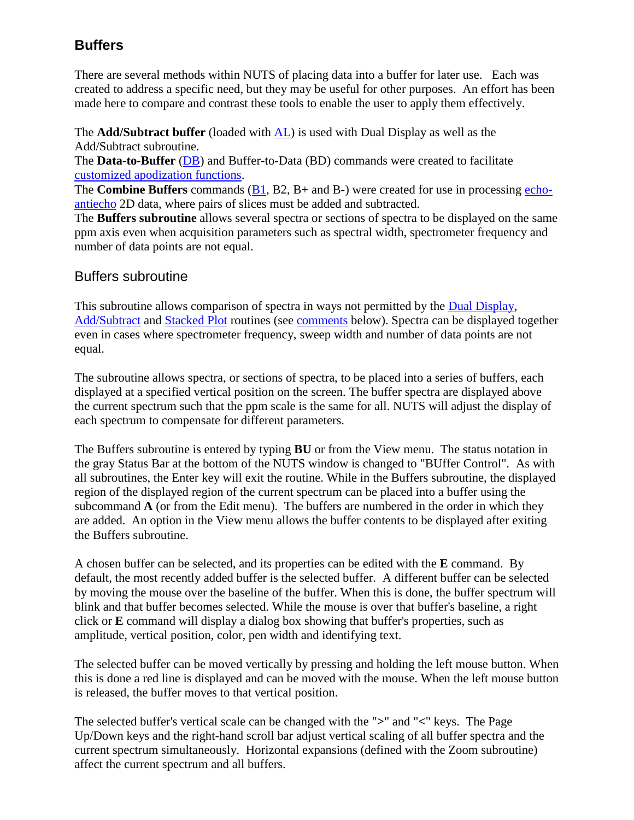# **Buffers**

There are several methods within NUTS of placing data into a buffer for later use. Each was created to address a specific need, but they may be useful for other purposes. An effort has been made here to compare and contrast these tools to enable the user to apply them effectively.

The **Add/Subtract buffer** (loaded with [AL\)](mk:@MSITStore:C:/Nuts/nutshtml.chm::/as.html#al) is used with Dual Display as well as the Add/Subtract subroutine.

The **Data-to-Buffer** [\(DB\)](mk:@MSITStore:C:/Nuts/nutshtml.chm::/buffers.htm#db) and Buffer-to-Data (BD) commands were created to facilitate [customized apodization functions.](mk:@MSITStore:C:/Nuts/nutshtml.chm::/custom.html)

The **Combine Buffers** commands [\(B1,](mk:@MSITStore:C:/Nuts/nutshtml.chm::/buffers.htm#b1) B2, B+ and B-) were created for use in processing [echo](mk:@MSITStore:C:/Nuts/nutshtml.chm::/varian_ghsqc.htm)[antiecho](mk:@MSITStore:C:/Nuts/nutshtml.chm::/varian_ghsqc.htm) 2D data, where pairs of slices must be added and subtracted.

The **Buffers subroutine** allows several spectra or sections of spectra to be displayed on the same ppm axis even when acquisition parameters such as spectral width, spectrometer frequency and number of data points are not equal.

# Buffers subroutine

This subroutine allows comparison of spectra in ways not permitted by the [Dual Display,](mk:@MSITStore:C:/Nuts/nutshtml.chm::/as.html#dd) [Add/Subtract](mk:@MSITStore:C:/Nuts/nutshtml.chm::/as.html#as) and [Stacked Plot](mk:@MSITStore:C:/Nuts/nutshtml.chm::/sp_show.html) routines (see [comments](mk:@MSITStore:C:/Nuts/nutshtml.chm::/buffers.htm#compare) below). Spectra can be displayed together even in cases where spectrometer frequency, sweep width and number of data points are not equal.

The subroutine allows spectra, or sections of spectra, to be placed into a series of buffers, each displayed at a specified vertical position on the screen. The buffer spectra are displayed above the current spectrum such that the ppm scale is the same for all. NUTS will adjust the display of each spectrum to compensate for different parameters.

The Buffers subroutine is entered by typing **BU** or from the View menu. The status notation in the gray Status Bar at the bottom of the NUTS window is changed to "BUffer Control". As with all subroutines, the Enter key will exit the routine. While in the Buffers subroutine, the displayed region of the displayed region of the current spectrum can be placed into a buffer using the subcommand **A** (or from the Edit menu). The buffers are numbered in the order in which they are added. An option in the View menu allows the buffer contents to be displayed after exiting the Buffers subroutine.

A chosen buffer can be selected, and its properties can be edited with the **E** command. By default, the most recently added buffer is the selected buffer. A different buffer can be selected by moving the mouse over the baseline of the buffer. When this is done, the buffer spectrum will blink and that buffer becomes selected. While the mouse is over that buffer's baseline, a right click or **E** command will display a dialog box showing that buffer's properties, such as amplitude, vertical position, color, pen width and identifying text.

The selected buffer can be moved vertically by pressing and holding the left mouse button. When this is done a red line is displayed and can be moved with the mouse. When the left mouse button is released, the buffer moves to that vertical position.

The selected buffer's vertical scale can be changed with the "**>**" and "**<**" keys. The Page Up/Down keys and the right-hand scroll bar adjust vertical scaling of all buffer spectra and the current spectrum simultaneously. Horizontal expansions (defined with the Zoom subroutine) affect the current spectrum and all buffers.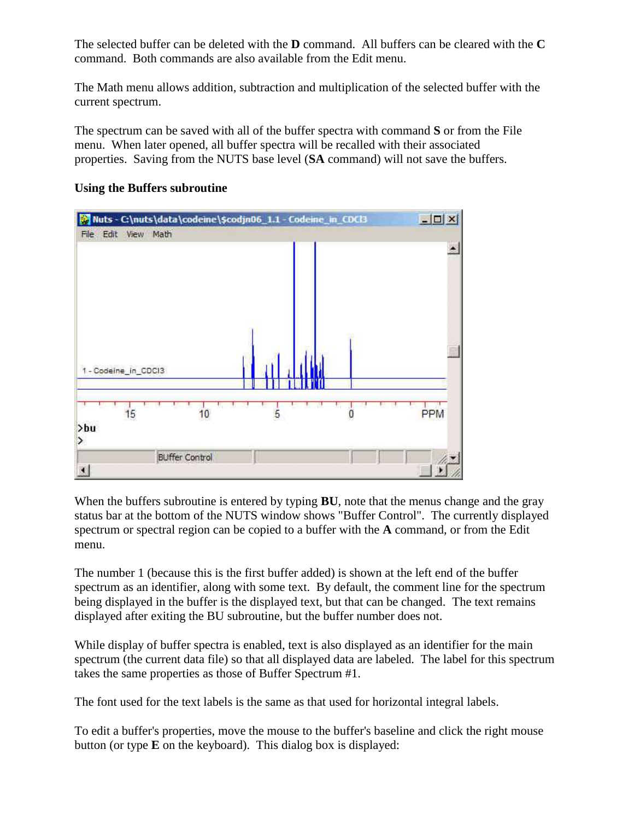The selected buffer can be deleted with the **D** command. All buffers can be cleared with the **C** command. Both commands are also available from the Edit menu.

The Math menu allows addition, subtraction and multiplication of the selected buffer with the current spectrum.

The spectrum can be saved with all of the buffer spectra with command **S** or from the File menu. When later opened, all buffer spectra will be recalled with their associated properties. Saving from the NUTS base level (**SA** command) will not save the buffers.



#### **Using the Buffers subroutine**

When the buffers subroutine is entered by typing **BU**, note that the menus change and the gray status bar at the bottom of the NUTS window shows "Buffer Control". The currently displayed spectrum or spectral region can be copied to a buffer with the **A** command, or from the Edit menu.

The number 1 (because this is the first buffer added) is shown at the left end of the buffer spectrum as an identifier, along with some text. By default, the comment line for the spectrum being displayed in the buffer is the displayed text, but that can be changed. The text remains displayed after exiting the BU subroutine, but the buffer number does not.

While display of buffer spectra is enabled, text is also displayed as an identifier for the main spectrum (the current data file) so that all displayed data are labeled. The label for this spectrum takes the same properties as those of Buffer Spectrum #1.

The font used for the text labels is the same as that used for horizontal integral labels.

To edit a buffer's properties, move the mouse to the buffer's baseline and click the right mouse button (or type **E** on the keyboard). This dialog box is displayed: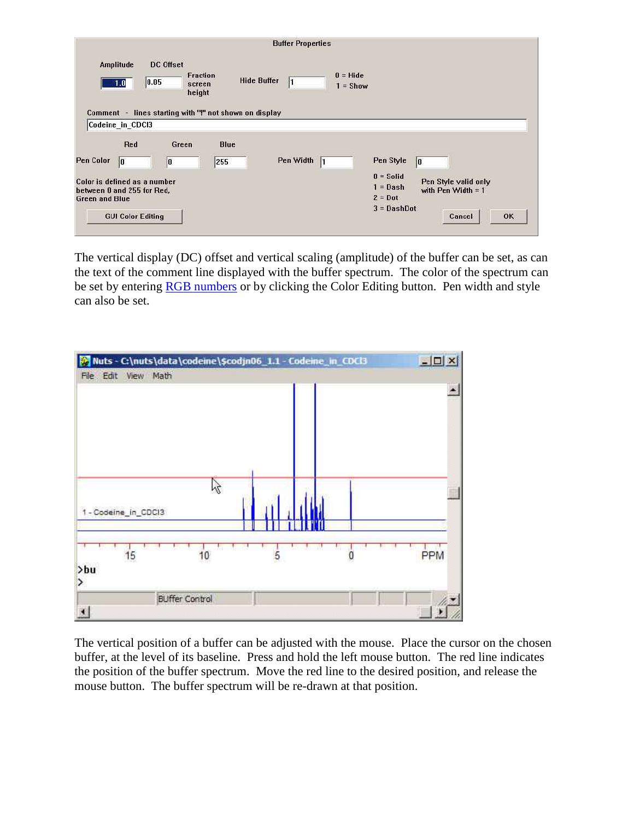|                                    |                                                                                              |                                                  |                                                        | <b>Buffer Properties</b> |                          |                                                                      |                                                                    |
|------------------------------------|----------------------------------------------------------------------------------------------|--------------------------------------------------|--------------------------------------------------------|--------------------------|--------------------------|----------------------------------------------------------------------|--------------------------------------------------------------------|
| Amplitude                          | 0.05 <br>1.0                                                                                 | DC Offset<br><b>Fraction</b><br>screen<br>height | Comment - lines starting with "!" not shown on display | <b>Hide Buffer</b>       | $0 = Hide$<br>$1 =$ Show |                                                                      |                                                                    |
|                                    | Codeine_in_CDCI3<br>Red                                                                      | Green                                            | <b>Blue</b>                                            |                          |                          |                                                                      |                                                                    |
| Pen Color<br><b>Green and Blue</b> | 10<br>Color is defined as a number<br>between 0 and 255 for Red.<br><b>GUI Color Editing</b> | IO                                               | 255                                                    | Pen Width                |                          | Pen Style<br>$0 =$ Solid<br>$1 = Dash$<br>$2 = Dot$<br>$3 = DashDot$ | 10<br>Pen Style valid only<br>with $Pen$ Width = 1<br>Cancel<br>0K |

The vertical display (DC) offset and vertical scaling (amplitude) of the buffer can be set, as can the text of the comment line displayed with the buffer spectrum. The color of the spectrum can be set by entering [RGB numbers](mk:@MSITStore:C:/Nuts/nutshtml.chm::/colors.htm) or by clicking the Color Editing button. Pen width and style can also be set.



The vertical position of a buffer can be adjusted with the mouse. Place the cursor on the chosen buffer, at the level of its baseline. Press and hold the left mouse button. The red line indicates the position of the buffer spectrum. Move the red line to the desired position, and release the mouse button. The buffer spectrum will be re-drawn at that position.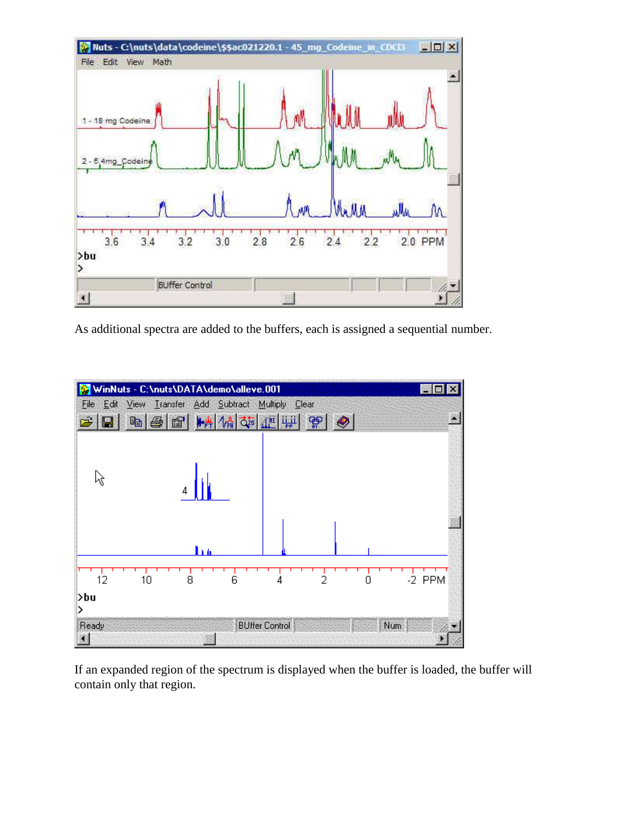

As additional spectra are added to the buffers, each is assigned a sequential number.



If an expanded region of the spectrum is displayed when the buffer is loaded, the buffer will contain only that region.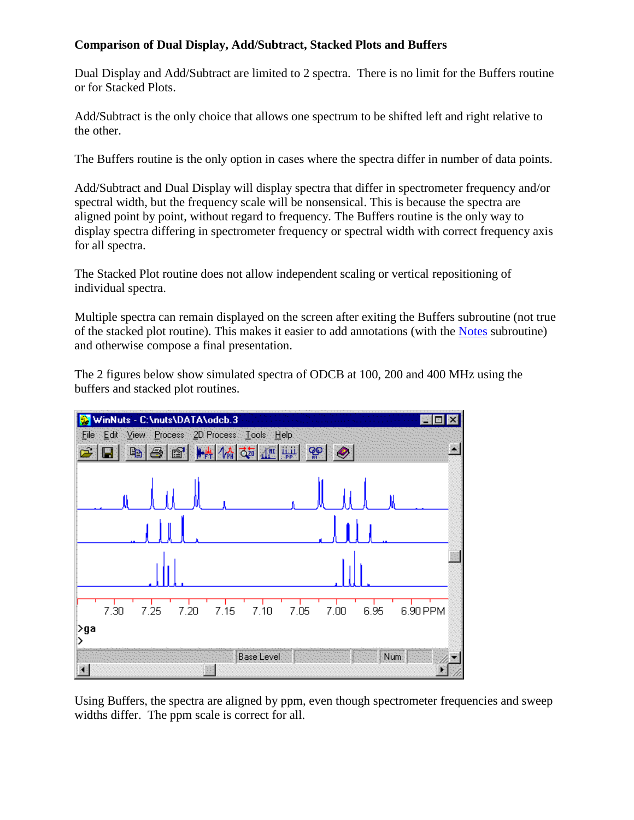#### **Comparison of Dual Display, Add/Subtract, Stacked Plots and Buffers**

Dual Display and Add/Subtract are limited to 2 spectra. There is no limit for the Buffers routine or for Stacked Plots.

Add/Subtract is the only choice that allows one spectrum to be shifted left and right relative to the other.

The Buffers routine is the only option in cases where the spectra differ in number of data points.

Add/Subtract and Dual Display will display spectra that differ in spectrometer frequency and/or spectral width, but the frequency scale will be nonsensical. This is because the spectra are aligned point by point, without regard to frequency. The Buffers routine is the only way to display spectra differing in spectrometer frequency or spectral width with correct frequency axis for all spectra.

The Stacked Plot routine does not allow independent scaling or vertical repositioning of individual spectra.

Multiple spectra can remain displayed on the screen after exiting the Buffers subroutine (not true of the stacked plot routine). This makes it easier to add annotations (with the [Notes](mk:@MSITStore:C:/Nuts/nutshtml.chm::/notes.htm) subroutine) and otherwise compose a final presentation.

The 2 figures below show simulated spectra of ODCB at 100, 200 and 400 MHz using the buffers and stacked plot routines.



Using Buffers, the spectra are aligned by ppm, even though spectrometer frequencies and sweep widths differ. The ppm scale is correct for all.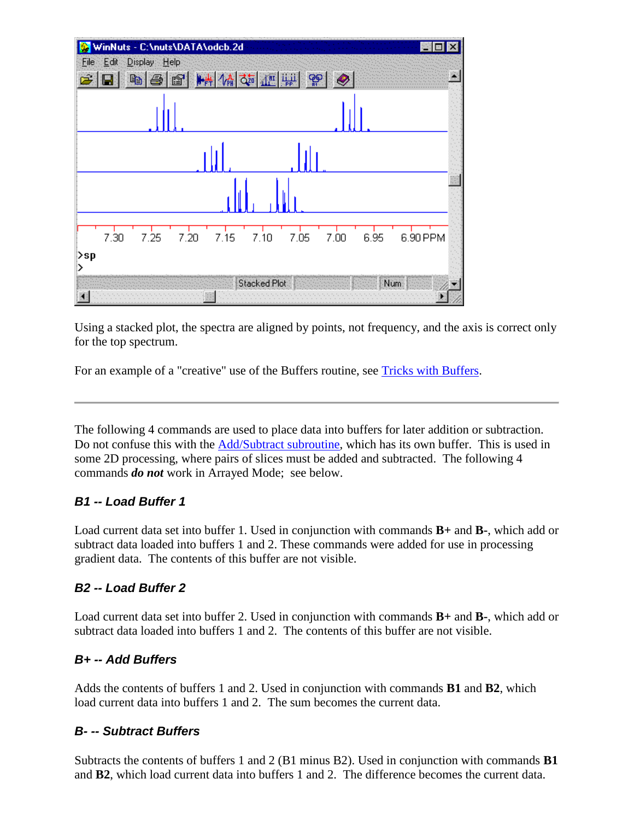

Using a stacked plot, the spectra are aligned by points, not frequency, and the axis is correct only for the top spectrum.

For an example of a "creative" use of the Buffers routine, see [Tricks with Buffers.](mk:@MSITStore:C:/Nuts/nutshtml.chm::/tricks_with_buffers.htm)

The following 4 commands are used to place data into buffers for later addition or subtraction. Do not confuse this with the [Add/Subtract subroutine,](mk:@MSITStore:C:/Nuts/nutshtml.chm::/as.html) which has its own buffer. This is used in some 2D processing, where pairs of slices must be added and subtracted. The following 4 commands *do not* work in Arrayed Mode; see below.

#### *B1 -- Load Buffer 1*

Load current data set into buffer 1. Used in conjunction with commands **B+** and **B-**, which add or subtract data loaded into buffers 1 and 2. These commands were added for use in processing gradient data. The contents of this buffer are not visible.

#### *B2 -- Load Buffer 2*

Load current data set into buffer 2. Used in conjunction with commands **B+** and **B-**, which add or subtract data loaded into buffers 1 and 2. The contents of this buffer are not visible.

### *B+ -- Add Buffers*

Adds the contents of buffers 1 and 2. Used in conjunction with commands **B1** and **B2**, which load current data into buffers 1 and 2. The sum becomes the current data.

### *B- -- Subtract Buffers*

Subtracts the contents of buffers 1 and 2 (B1 minus B2). Used in conjunction with commands **B1** and **B2**, which load current data into buffers 1 and 2. The difference becomes the current data.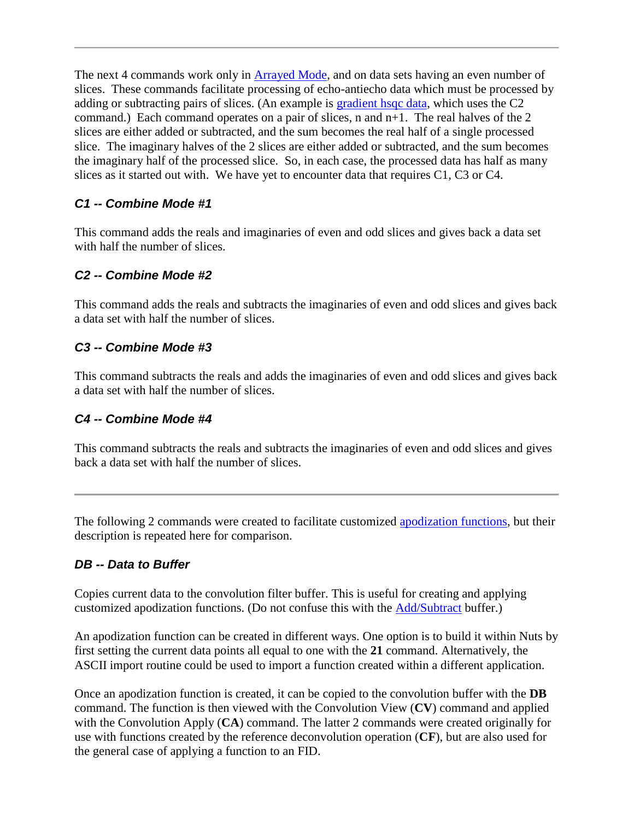The next 4 commands work only in **Arrayed Mode**, and on data sets having an even number of slices. These commands facilitate processing of echo-antiecho data which must be processed by adding or subtracting pairs of slices. (An example is [gradient hsqc data,](mk:@MSITStore:C:/Nuts/NutsHelp/varian_ghsqc.htm::/) which uses the C2 command.) Each command operates on a pair of slices, n and n+1. The real halves of the 2 slices are either added or subtracted, and the sum becomes the real half of a single processed slice. The imaginary halves of the 2 slices are either added or subtracted, and the sum becomes the imaginary half of the processed slice. So, in each case, the processed data has half as many slices as it started out with. We have yet to encounter data that requires C1, C3 or C4.

### *C1 -- Combine Mode #1*

This command adds the reals and imaginaries of even and odd slices and gives back a data set with half the number of slices.

### *C2 -- Combine Mode #2*

This command adds the reals and subtracts the imaginaries of even and odd slices and gives back a data set with half the number of slices.

### *C3 -- Combine Mode #3*

This command subtracts the reals and adds the imaginaries of even and odd slices and gives back a data set with half the number of slices.

### *C4 -- Combine Mode #4*

This command subtracts the reals and subtracts the imaginaries of even and odd slices and gives back a data set with half the number of slices.

The following 2 commands were created to facilitate customized [apodization functions,](mk:@MSITStore:C:/Nuts/nutshtml.chm::/custom.html) but their description is repeated here for comparison.

# *DB -- Data to Buffer*

Copies current data to the convolution filter buffer. This is useful for creating and applying customized apodization functions. (Do not confuse this with the [Add/Subtract](mk:@MSITStore:C:/Nuts/nutshtml.chm::/as.html) buffer.)

An apodization function can be created in different ways. One option is to build it within Nuts by first setting the current data points all equal to one with the **21** command. Alternatively, the ASCII import routine could be used to import a function created within a different application.

Once an apodization function is created, it can be copied to the convolution buffer with the **DB** command. The function is then viewed with the Convolution View (**CV**) command and applied with the Convolution Apply (CA) command. The latter 2 commands were created originally for use with functions created by the reference deconvolution operation (**CF**), but are also used for the general case of applying a function to an FID.